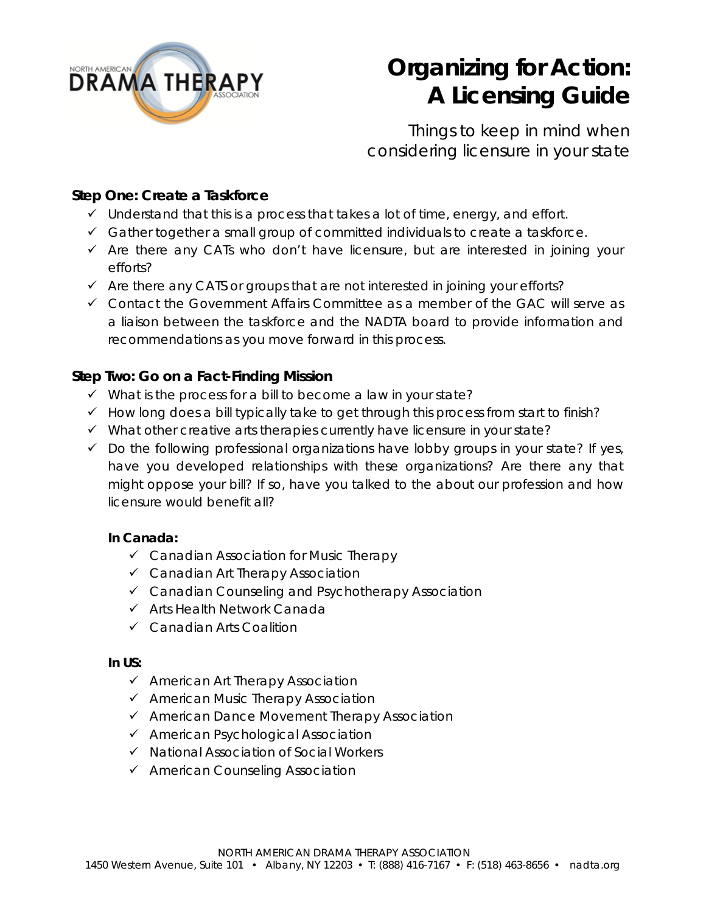

# **Organizing for Action: A Licensing Guide**

Things to keep in mind when considering licensure in your state

# **Step One: Create a Taskforce**

- $\checkmark$  Understand that this is a process that takes a lot of time, energy, and effort.
- $\checkmark$  Gather together a small group of committed individuals to create a taskforce.
- $\checkmark$  Are there any CATs who don't have licensure, but are interested in joining your efforts?
- $\checkmark$  Are there any CATS or groups that are not interested in joining your efforts?
- Contact the Government Affairs Committee as a member of the GAC will serve as a liaison between the taskforce and the NADTA board to provide information and recommendations as you move forward in this process.

# **Step Two: Go on a Fact-Finding Mission**

- $\checkmark$  What is the process for a bill to become a law in your state?
- $\checkmark$  How long does a bill typically take to get through this process from start to finish?
- $\checkmark$  What other creative arts therapies currently have licensure in your state?
- $\checkmark$  Do the following professional organizations have lobby groups in your state? If yes, have you developed relationships with these organizations? Are there any that might oppose your bill? If so, have you talked to the about our profession and how licensure would benefit all?

## **In Canada:**

- Canadian Association for Music Therapy
- Canadian Art Therapy Association
- Canadian Counseling and Psychotherapy Association
- $\checkmark$  Arts Health Network Canada
- Canadian Arts Coalition

#### **In US:**

- $\checkmark$  American Art Therapy Association
- $\checkmark$  American Music Therapy Association
- $\checkmark$  American Dance Movement Therapy Association
- $\checkmark$  American Psychological Association
- $\checkmark$  National Association of Social Workers
- $\checkmark$  American Counseling Association